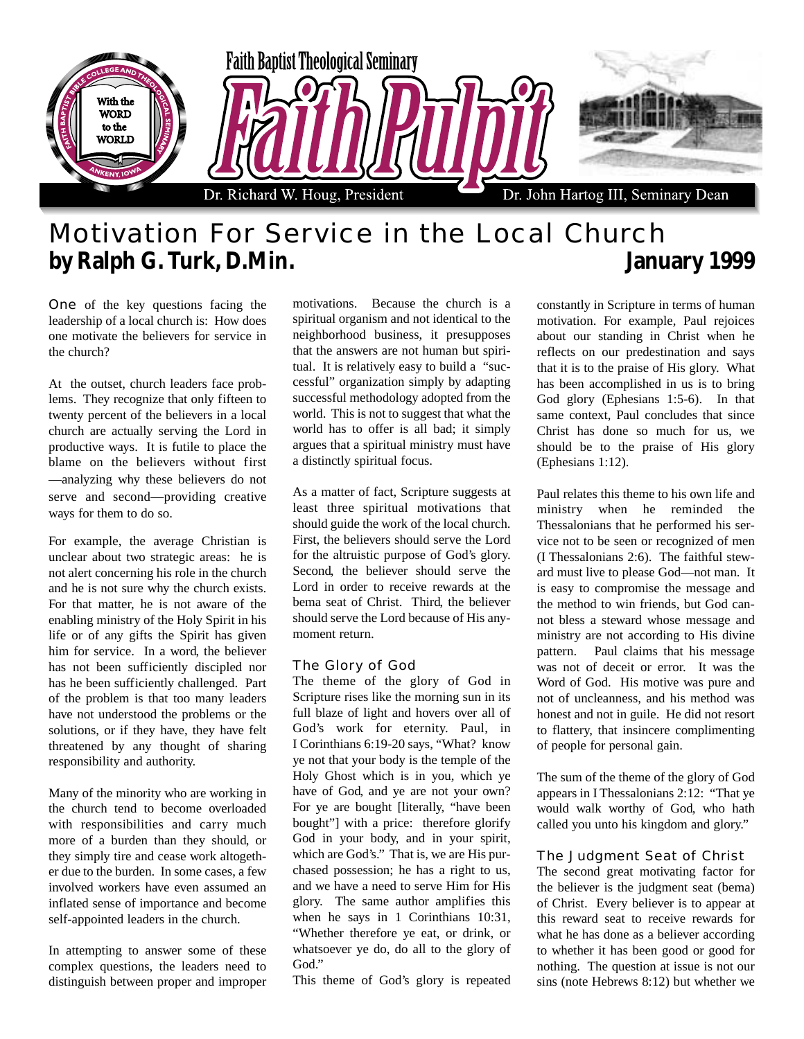

## Motivation For Service in the Local Church **by Ralph G. Turk, D.Min. January 1999**

One of the key questions facing the leadership of a local church is: How does one motivate the believers for service in the church?

At the outset, church leaders face problems. They recognize that only fifteen to twenty percent of the believers in a local church are actually serving the Lord in productive ways. It is futile to place the blame on the believers without first —analyzing why these believers do not serve and second—providing creative ways for them to do so.

For example, the average Christian is unclear about two strategic areas: he is not alert concerning his role in the church and he is not sure why the church exists. For that matter, he is not aware of the enabling ministry of the Holy Spirit in his life or of any gifts the Spirit has given him for service. In a word, the believer has not been sufficiently discipled nor has he been sufficiently challenged. Part of the problem is that too many leaders have not understood the problems or the solutions, or if they have, they have felt threatened by any thought of sharing responsibility and authority.

Many of the minority who are working in the church tend to become overloaded with responsibilities and carry much more of a burden than they should, or they simply tire and cease work altogether due to the burden. In some cases, a few involved workers have even assumed an inflated sense of importance and become self-appointed leaders in the church.

In attempting to answer some of these complex questions, the leaders need to distinguish between proper and improper motivations. Because the church is a spiritual organism and not identical to the neighborhood business, it presupposes that the answers are not human but spiritual. It is relatively easy to build a "successful" organization simply by adapting successful methodology adopted from the world. This is not to suggest that what the world has to offer is all bad; it simply argues that a spiritual ministry must have a distinctly spiritual focus.

As a matter of fact, Scripture suggests at least three spiritual motivations that should guide the work of the local church. First, the believers should serve the Lord for the altruistic purpose of God's glory. Second, the believer should serve the Lord in order to receive rewards at the bema seat of Christ. Third, the believer should serve the Lord because of His anymoment return.

## The Glory of God

The theme of the glory of God in Scripture rises like the morning sun in its full blaze of light and hovers over all of God's work for eternity. Paul, in I Corinthians 6:19-20 says, "What? know ye not that your body is the temple of the Holy Ghost which is in you, which ye have of God, and ye are not your own? For ye are bought [literally, "have been bought"] with a price: therefore glorify God in your body, and in your spirit, which are God's." That is, we are His purchased possession; he has a right to us, and we have a need to serve Him for His glory. The same author amplifies this when he says in 1 Corinthians 10:31, "Whether therefore ye eat, or drink, or whatsoever ye do, do all to the glory of God."

This theme of God's glory is repeated

constantly in Scripture in terms of human motivation. For example, Paul rejoices about our standing in Christ when he reflects on our predestination and says that it is to the praise of His glory. What has been accomplished in us is to bring God glory (Ephesians 1:5-6). In that same context, Paul concludes that since Christ has done so much for us, we should be to the praise of His glory (Ephesians 1:12).

Paul relates this theme to his own life and ministry when he reminded the Thessalonians that he performed his service not to be seen or recognized of men (I Thessalonians 2:6). The faithful steward must live to please God—not man. It is easy to compromise the message and the method to win friends, but God cannot bless a steward whose message and ministry are not according to His divine pattern. Paul claims that his message was not of deceit or error. It was the Word of God. His motive was pure and not of uncleanness, and his method was honest and not in guile. He did not resort to flattery, that insincere complimenting of people for personal gain.

The sum of the theme of the glory of God appears in I Thessalonians 2:12: "That ye would walk worthy of God, who hath called you unto his kingdom and glory."

## The Judgment Seat of Christ

The second great motivating factor for the believer is the judgment seat (bema) of Christ. Every believer is to appear at this reward seat to receive rewards for what he has done as a believer according to whether it has been good or good for nothing. The question at issue is not our sins (note Hebrews 8:12) but whether we